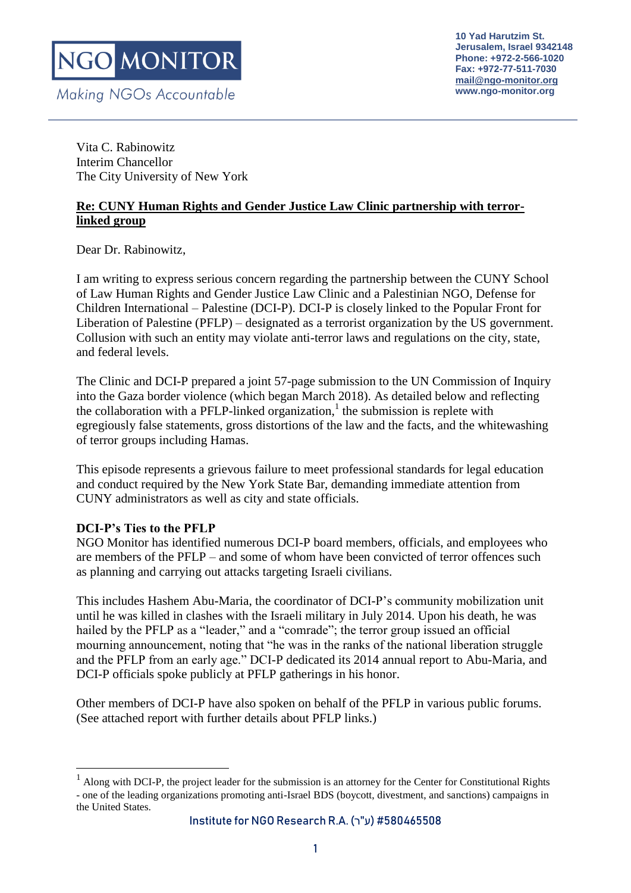Vita C. Rabinowitz Interim Chancellor The City University of New York

### **Re: CUNY Human Rights and Gender Justice Law Clinic partnership with terrorlinked group**

Dear Dr. Rabinowitz,

I am writing to express serious concern regarding the partnership between the CUNY School of Law Human Rights and Gender Justice Law Clinic and a Palestinian NGO, Defense for Children International – Palestine (DCI-P). DCI-P is closely linked to the Popular Front for Liberation of Palestine (PFLP) – designated as a terrorist organization by the US government. Collusion with such an entity may violate anti-terror laws and regulations on the city, state, and federal levels.

The Clinic and DCI-P prepared a joint 57-page submission to the UN Commission of Inquiry into the Gaza border violence (which began March 2018). As detailed below and reflecting the collaboration with a PFLP-linked organization,<sup>1</sup> the submission is replete with egregiously false statements, gross distortions of the law and the facts, and the whitewashing of terror groups including Hamas.

This episode represents a grievous failure to meet professional standards for legal education and conduct required by the New York State Bar, demanding immediate attention from CUNY administrators as well as city and state officials.

## **DCI-P's Ties to the PFLP**

1

NGO Monitor has identified numerous DCI-P board members, officials, and employees who are members of the PFLP – and some of whom have been convicted of terror offences such as planning and carrying out attacks targeting Israeli civilians.

This includes Hashem Abu-Maria, the coordinator of DCI-P's community mobilization unit until he was killed in clashes with the Israeli military in July 2014. Upon his death, he was hailed by the PFLP as a "leader," and a "comrade"; the terror group issued an official mourning announcement, noting that "he was in the ranks of the national liberation struggle and the PFLP from an early age." DCI-P dedicated its 2014 annual report to Abu-Maria, and DCI-P officials spoke publicly at PFLP gatherings in his honor.

Other members of DCI-P have also spoken on behalf of the PFLP in various public forums. (See attached report with further details about PFLP links.)

<sup>&</sup>lt;sup>1</sup> Along with DCI-P, the project leader for the submission is an attorney for the Center for Constitutional Rights - one of the leading organizations promoting anti-Israel BDS (boycott, divestment, and sanctions) campaigns in the United States.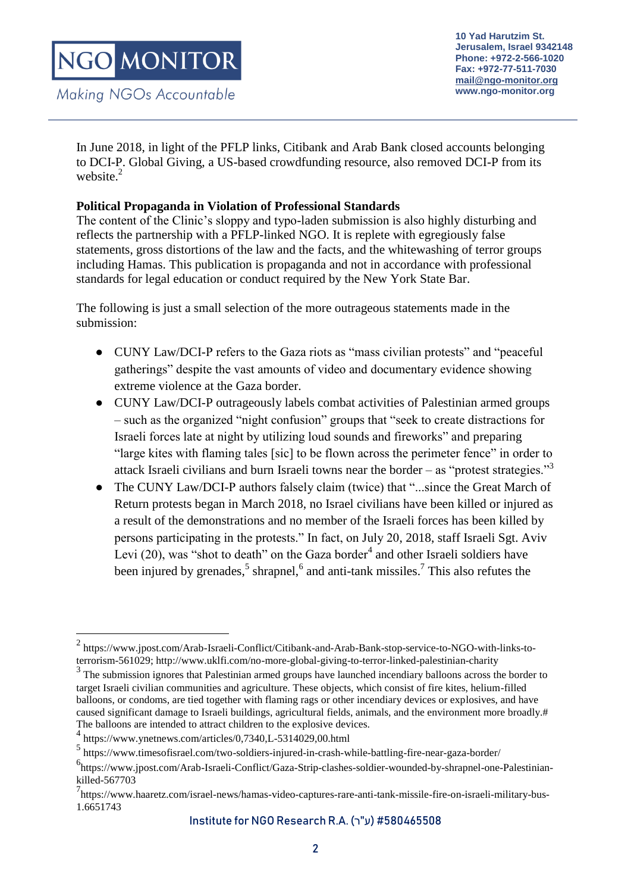In June 2018, in light of the PFLP links, Citibank and Arab Bank closed accounts belonging to DCI-P. Global Giving, a US-based crowdfunding resource, also removed DCI-P from its website $^2$ 

# **Political Propaganda in Violation of Professional Standards**

The content of the Clinic's sloppy and typo-laden submission is also highly disturbing and reflects the partnership with a PFLP-linked NGO. It is replete with egregiously false statements, gross distortions of the law and the facts, and the whitewashing of terror groups including Hamas. This publication is propaganda and not in accordance with professional standards for legal education or conduct required by the New York State Bar.

The following is just a small selection of the more outrageous statements made in the submission:

- CUNY Law/DCI-P refers to the Gaza riots as "mass civilian protests" and "peaceful gatherings" despite the vast amounts of video and documentary evidence showing extreme violence at the Gaza border.
- CUNY Law/DCI-P outrageously labels combat activities of Palestinian armed groups – such as the organized "night confusion" groups that "seek to create distractions for Israeli forces late at night by utilizing loud sounds and fireworks" and preparing "large kites with flaming tales [sic] to be flown across the perimeter fence" in order to attack Israeli civilians and burn Israeli towns near the border – as "protest strategies."<sup>3</sup>
- The CUNY Law/DCI-P authors falsely claim (twice) that "...since the Great March of Return protests began in March 2018, no Israel civilians have been killed or injured as a result of the demonstrations and no member of the Israeli forces has been killed by persons participating in the protests." In fact, on July 20, 2018, staff Israeli Sgt. Aviv Levi  $(20)$ , was "shot to death" on the Gaza border<sup>4</sup> and other Israeli soldiers have been injured by grenades,<sup>5</sup> shrapnel,<sup>6</sup> and anti-tank missiles.<sup>7</sup> This also refutes the

Institute for NGO Research R.A.  $(7"v)$ #580465508

<sup>1</sup> 2 https://www.jpost.com/Arab-Israeli-Conflict/Citibank-and-Arab-Bank-stop-service-to-NGO-with-links-toterrorism-561029; http://www.uklfi.com/no-more-global-giving-to-terror-linked-palestinian-charity

<sup>&</sup>lt;sup>3</sup> The submission ignores that Palestinian armed groups have launched incendiary balloons across the border to target Israeli civilian communities and agriculture. These objects, which consist of fire kites, helium-filled balloons, or condoms, are tied together with flaming rags or other incendiary devices or explosives, and have caused significant damage to Israeli buildings, agricultural fields, animals, and the environment more broadly.# The balloons are intended to attract children to the explosive devices.

<sup>4</sup> https://www.ynetnews.com/articles/0,7340,L-5314029,00.html

<sup>5</sup> https://www.timesofisrael.com/two-soldiers-injured-in-crash-while-battling-fire-near-gaza-border/

<sup>6</sup> https://www.jpost.com/Arab-Israeli-Conflict/Gaza-Strip-clashes-soldier-wounded-by-shrapnel-one-Palestiniankilled-567703

<sup>7</sup> https://www.haaretz.com/israel-news/hamas-video-captures-rare-anti-tank-missile-fire-on-israeli-military-bus-1.6651743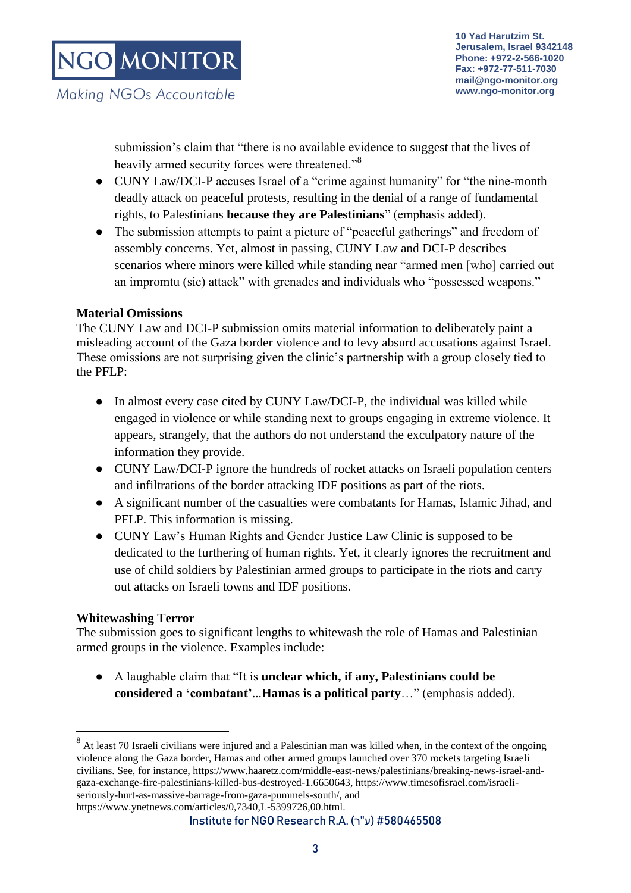submission's claim that "there is no available evidence to suggest that the lives of heavily armed security forces were threatened."<sup>8</sup>

- CUNY Law/DCI-P accuses Israel of a "crime against humanity" for "the nine-month deadly attack on peaceful protests, resulting in the denial of a range of fundamental rights, to Palestinians **because they are Palestinians**" (emphasis added).
- The submission attempts to paint a picture of "peaceful gatherings" and freedom of assembly concerns. Yet, almost in passing, CUNY Law and DCI-P describes scenarios where minors were killed while standing near "armed men [who] carried out an impromtu (sic) attack" with grenades and individuals who "possessed weapons."

## **Material Omissions**

The CUNY Law and DCI-P submission omits material information to deliberately paint a misleading account of the Gaza border violence and to levy absurd accusations against Israel. These omissions are not surprising given the clinic's partnership with a group closely tied to the PFLP:

- In almost every case cited by CUNY Law/DCI-P, the individual was killed while engaged in violence or while standing next to groups engaging in extreme violence. It appears, strangely, that the authors do not understand the exculpatory nature of the information they provide.
- CUNY Law/DCI-P ignore the hundreds of rocket attacks on Israeli population centers and infiltrations of the border attacking IDF positions as part of the riots.
- A significant number of the casualties were combatants for Hamas, Islamic Jihad, and PFLP. This information is missing.
- CUNY Law's Human Rights and Gender Justice Law Clinic is supposed to be dedicated to the furthering of human rights. Yet, it clearly ignores the recruitment and use of child soldiers by Palestinian armed groups to participate in the riots and carry out attacks on Israeli towns and IDF positions.

#### **Whitewashing Terror**

The submission goes to significant lengths to whitewash the role of Hamas and Palestinian armed groups in the violence. Examples include:

● A laughable claim that "It is **unclear which, if any, Palestinians could be considered a 'combatant'**...**Hamas is a political party**…" (emphasis added).

Institute for NGO Research R.A. (ר"ע (#580465508

<sup>&</sup>lt;sup>8</sup> At least 70 Israeli civilians were injured and a Palestinian man was killed when, in the context of the ongoing violence along the Gaza border, Hamas and other armed groups launched over 370 rockets targeting Israeli civilians. See, for instance, https://www.haaretz.com/middle-east-news/palestinians/breaking-news-israel-andgaza-exchange-fire-palestinians-killed-bus-destroyed-1.6650643, https://www.timesofisrael.com/israeliseriously-hurt-as-massive-barrage-from-gaza-pummels-south/, and https://www.ynetnews.com/articles/0,7340,L-5399726,00.html.